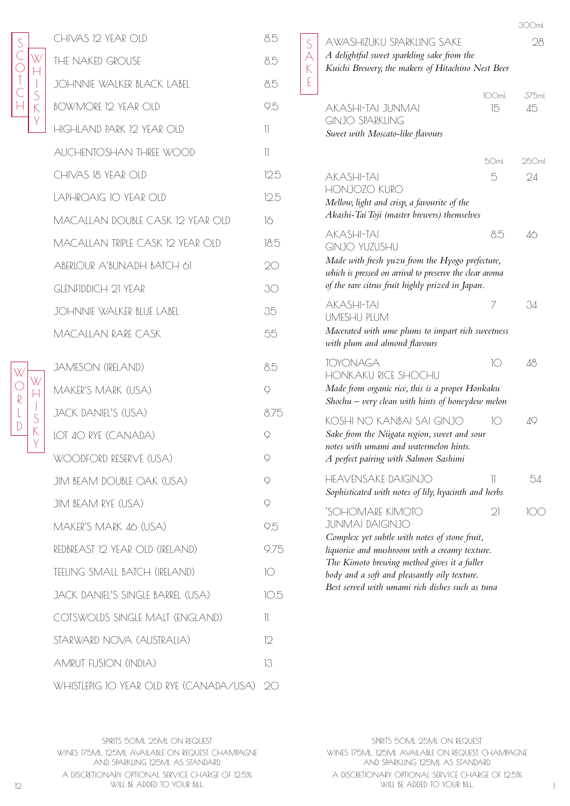

W  $\bigcirc$ R L  $\overline{D}$ 

W  $\mathsf{H}$ I S K Y

| CHIVAS 12 YEAR OLD                | 8.5                      |
|-----------------------------------|--------------------------|
| <b>THE NAKED GROUSE</b>           | 8.5                      |
| <b>JOHNNIE WALKER BLACK LABEL</b> | 8.5                      |
| <b>BOWMORE 12 YEAR OLD</b>        | 9.5                      |
| HIGHLAND PARK 12 YEAR OLD         | 11                       |
| AUCHENTOSHAN THREE WOOD           | $\overline{\phantom{a}}$ |
| CHIVAS 18 YEAR OLD                | 12.5                     |
| LAPHROAIG IO YEAR OLD             | 12.5                     |
| MACALLAN DOUBLE CASK 12 YEAR OLD  | 16                       |
| MACALLAN TRIPLE CASK 12 YEAR OLD  | 18.5                     |
| ABERLOUR A'BUNADH BATCH 61        | 20                       |
| <b>GLENFIDDICH 21 YEAR</b>        | 30                       |
| JOHNNIE WALKER BLUE LABEL         | 35                       |
| <b>MACALLAN RARE CASK</b>         | 55                       |
| <b>JAMESON (IRELAND)</b>          | 8.5                      |
| MAKER'S MARK (USA)                | $\circ$                  |
| <b>JACK DANIEL'S (USA)</b>        | 8.75                     |
| LOT 40 RYE (CANADA)               | Q                        |
|                                   |                          |

| JACK DANIEL'S (USA)               | 875 |
|-----------------------------------|-----|
| LOT 40 RYE (CANADA)               | 9   |
| WOODFORD RESERVE (USA)            | Q   |
| JIM BEAM DOUBLE OAK (USA)         | Q   |
| JIM BEAM RYE (USA)                | Q   |
| MAKER'S MARK 46 (USA)             | 9.5 |
| REDBREAST 12 YEAR OLD (IRELAND)   | 975 |
| TEELING SMALL BATCH (IRELAND)     | 10  |
| JACK DANIEL'S SINGLE BARREL (USA) | 105 |
| COTSWOLDS SINGLE MALT (ENGLAND)   | 11  |
| STARWARD NOVA (AUSTRALIA)         | 12  |
| AMRUT FUSION (INDIA)              | 13  |

WHISTLEPIG 10 YEAR OLD RYE (CANADA/USA) 20

S  $\forall$ K E

# AWASHIZUKU SPARKLING SAKE 28

*A delightful sweet sparkling sake from the Kuichi Brewery, the makers of Hitachino Nest Beer* 300ml

| AKASHI-TAI JUNMAI<br><b>GINJO SPARKLING</b><br>Sweet with Moscato-like flavours                                                                                                                                                                                                                | 100ml<br>15    | 375ml<br>45 |
|------------------------------------------------------------------------------------------------------------------------------------------------------------------------------------------------------------------------------------------------------------------------------------------------|----------------|-------------|
| <b>AKASHI-TAI</b><br>HONJOZO KURO<br>Mellow, light and crisp, a favourite of the<br>Akashi-Tai Toji (master brewers) themselves                                                                                                                                                                | 50ml<br>5      | 250ml<br>24 |
| <b>AKASHI-TAI</b><br><b>GINJO YUZUSHU</b><br>Made with fresh yuzu from the Hyogo prefecture,<br>which is pressed on arrival to preserve the clear aroma<br>of the rare citrus fruit highly prized in Japan.                                                                                    | 8.5            | 46          |
| <b>AKASHI-TAI</b><br>UMESHU PLUM<br>Macerated with ume plums to impart rich sweetness<br>with plum and almond flavours                                                                                                                                                                         | Τ              | 34          |
| <b>TOYONAGA</b><br><b>HONKAKU RICE SHOCHU</b><br>Made from organic rice, this is a proper Honkaku<br>Shochu $-$ very clean with hints of honeydew melon                                                                                                                                        | $(\cdot)$      | 48          |
| KOSHI NO KANBAI SAI GINJO<br>Sake from the Niigata region, sweet and sour<br>notes with umami and watermelon hints.<br>A perfect pairing with Salmon Sashimi                                                                                                                                   | $(\cdot)$      | 49          |
| HEAVENSAKE DAIGINJO<br>Sophisticated with notes of lily, hyacinth and herbs                                                                                                                                                                                                                    | Ш              | 54          |
| 'SOHOMARE KIMOTC<br><b>JUNMAI DAIGINJO</b><br>Complex yet subtle with notes of stone fruit,<br>liquorice and mushroom with a creamy texture.<br>The Kimoto brewing method gives it a fuller<br>body and a soft and pleasantly oily texture.<br>Best served with umami rich dishes such as tuna | $\mathfrak{D}$ | $(\lambda)$ |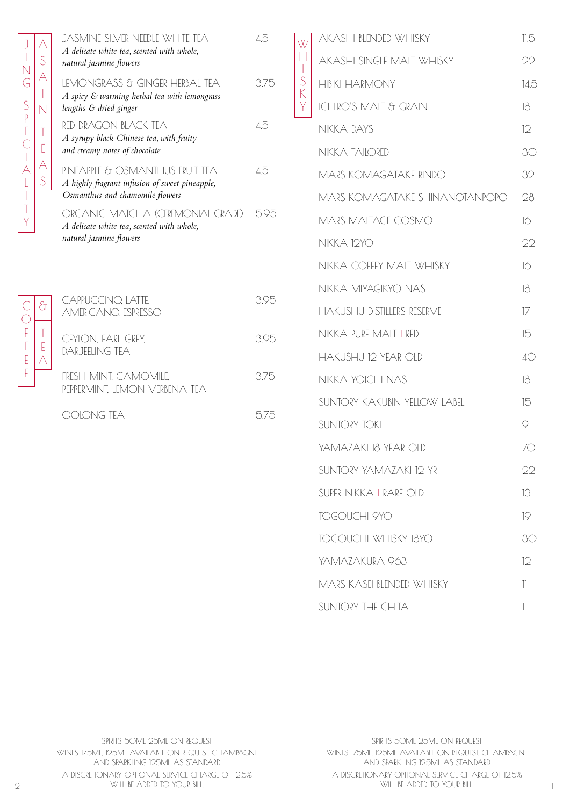| JASMINE SILVER NEEDLE WHITE TEA<br>A delicate white tea, scented with whole,<br>natural jasmine flowers              | 4.5  |
|----------------------------------------------------------------------------------------------------------------------|------|
| LEMONGRASS & GINGER HERBAL TEA<br>A spicy & warming herbal tea with lemongrass<br>lengths & dried ginger             | 3.75 |
| RED DRAGON BLACK TEA<br>A syrupy black Chinese tea, with fruity<br>and creamy notes of chocolate                     | 4.5  |
| PINEAPPLE & OSMANTHUS FRUIT TEA<br>A highly fragrant infusion of sweet pineapple,<br>Osmanthus and chamomile flowers | 45   |
| ORGANIC MATCHA (CEREMONIAL GRADE)<br>A delicate white tea, scented with whole,<br>natural jasmine flowers            | 5.95 |
|                                                                                                                      |      |
| CAPPUCCINO, LATTE.<br><b>AMERICANO ESPRESSO</b>                                                                      | 395  |
| CEYLON, EARL GREY.<br><b>DARJEELING TEA</b>                                                                          | 3.95 |
| FRESH MINT, CAMOMILE,<br>PEPPERMINT, LEMON VERBENA TEA                                                               | 3.75 |

J I N G

 $\begin{array}{c} \hline \end{array}$ 

S P E C I A L I T Y

 $\mathsf{C}$  $\overline{O}$ F F E E

| AKASHI BLENDED WHISKY             | 11.5                     |
|-----------------------------------|--------------------------|
| AKASHI SINGLE MALT WHISKY         | 22                       |
| <b>HIBIKI HARMONY</b>             | 14.5                     |
| <b>ICHIRO'S MALT &amp; GRAIN</b>  | 18                       |
| NIKKA DAYS                        | 12                       |
| NIKKA TAILORED                    | 30                       |
| MARS KOMAGATAKE RINDO             | 32                       |
| MARS KOMAGATAKE SHINANOTANPOPO    | 28                       |
| MARS MALTAGE COSMO                | 16                       |
| <b>NIKKA 12YO</b>                 | 22                       |
| NIKKA COFFEY MALT WHISKY          | 16                       |
| NIKKA MIYAGIKYO NAS               | 18                       |
| <b>HAKUSHU DISTILLERS RESERVE</b> | 17                       |
| NIKKA PURE MALT I RED             | 15                       |
| <b>HAKUSHU 12 YEAR OLD</b>        | $4\circ$                 |
| NIKKA YOICHI NAS                  | 18                       |
| SUNTORY KAKUBIN YELLOW LABEL      | 15                       |
| <b>SUNTORY TOKI</b>               | 9                        |
| YAMAZAKI 18 YEAR OLD              | Ю                        |
| SUNTORY YAMAZAKI 12 YR            | つつ                       |
| SUPER NIKKA I RARE OLD            | 13                       |
| <b>TOGOUCHI 9YO</b>               | 19                       |
| <b>TOGOUCHI WHISKY 18YO</b>       | 30                       |
| YAMAZAKURA 963                    | 12                       |
| MARS KASFI BI ENDED WHISKY        | 11                       |
| SUNTORY THE CHITA                 | $\overline{\phantom{a}}$ |
|                                   |                          |

W  $\frac{H}{I}$ I S K Y

SPIRITS 50ML 25ML ON REQUEST WINES 175ML, 125ML AVAILABLE ON REQUEST. CHAMPAGNE AND SPARKLING 125ML AS STANDARD. A DISCRETIONARY OPTIONAL SERVICE CHARGE OF 12.5%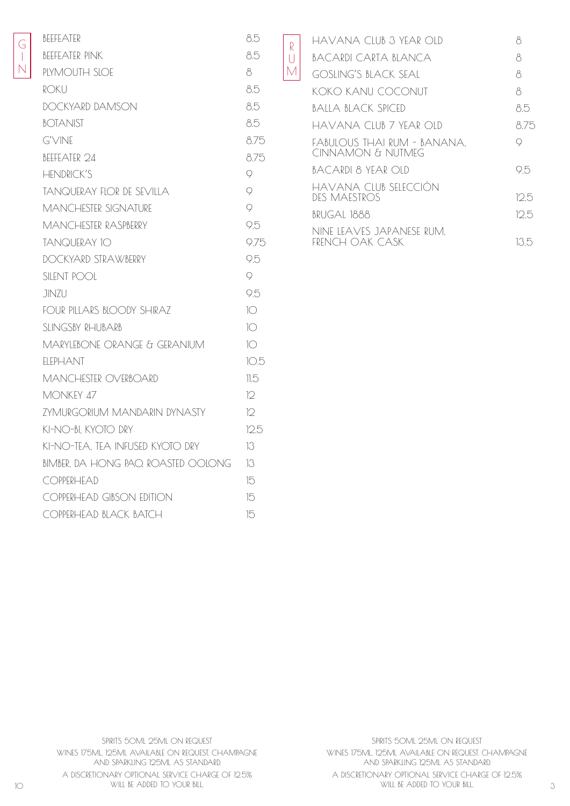| <b>BFFFFATFR</b>                    | 8.5             |
|-------------------------------------|-----------------|
| <b>BEEFEATER PINK</b>               | 8.5             |
| PLYMOUTH SLOE                       | 8               |
| ROKU                                | 8.5             |
| DOCKYARD DAMSON                     | 8.5             |
| <b>BOTANIST</b>                     | 8.5             |
| G'VINE                              | 8.75            |
| BFFFFATFR 24                        | 8.75            |
| <b>HENDRICK'S</b>                   | 9               |
| <b>TANQUERAY FLOR DE SEVILLA</b>    | 9               |
| <b>MANCHESTER SIGNATURE</b>         | $\circ$         |
| <b>MANCHESTER RASPBERRY</b>         | 9.5             |
| <b>TANQUERAY 10</b>                 | 9.75            |
| DOCKYARD STRAWBERRY                 | 9.5             |
| <b>SILENT POOL</b>                  | 9               |
| JINZU                               | 9.5             |
| FOUR PILLARS BLOODY SHIRAZ          | $\overline{1}$  |
| SLINGSBY RHUBARB                    | 10              |
| MARYLEBONE ORANGE & GERANIUM        | 10 <sup>o</sup> |
| FIFPHANT                            | 10.5            |
| MANCHESTER OVERBOARD                | 11.5            |
| <b>MONKEY 47</b>                    | 12              |
| ZYMURGORIUM MANDARIN DYNASTY        | 12              |
| KI-NO-BI, KYOTO DRY                 | 12.5            |
| KI-NO-TFA. TFA INFUSED KYOTO DRY    | 13              |
| BIMBER, DA HONG PAO, ROASTED OOLONG | 13              |
| COPPERHEAD                          | 15              |
| COPPERHEAD GIBSON EDITION           | 15              |
| COPPERHEAD BLACK BATCH              | 15              |
|                                     |                 |

| R      | havana ciub 3 yfar oid                           | Χ    |
|--------|--------------------------------------------------|------|
| $\Box$ | BACARDI CARTA BI ANCA                            | 8    |
| М      | <b>GOSLING'S BLACK SEAL</b>                      | 8    |
|        | KOKO KANU COCONUT                                | 8    |
|        | BALLA BLACK SPICED                               | 8.5  |
|        | havana Club 7 year Old                           | 875  |
|        | FABULOUS THAI RUM - BANANA.<br>CINNAMON & NUIMEG | Q    |
|        | BACARDI 8 YEAR OID                               | 95   |
|        | HAVANA CLUB SELECCIÓN<br>des maestros            | 125  |
|        | BRUGAL 1888                                      | 125  |
|        | NINE LEAVES JAPANESE RUM.<br>FRENCH OAK CASK     | 13.5 |

 $\overline{\mathbf{L}}$ M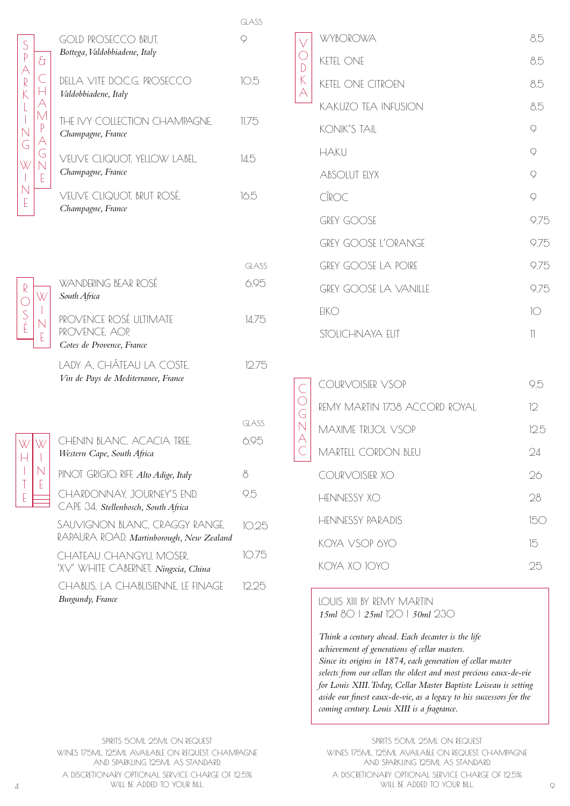|                                                                                                          |                                                                            | <b>GLASS</b> |
|----------------------------------------------------------------------------------------------------------|----------------------------------------------------------------------------|--------------|
| S                                                                                                        | <b>GOLD PROSECCO BRUT,</b>                                                 | $\circ$      |
| टी                                                                                                       | Bottega, Valdobbiadene, Italy                                              |              |
| P<br>A<br>R<br>K<br>$\overline{C}$<br>$\vdash$                                                           | DELLA VITE DOCG. PROSECCO<br>Valdobbiadene, Italy                          | 10.5         |
| A<br>M<br>$\mathsf{L}%$<br>$\begin{array}{c} \hline \end{array}$<br>$P$ $\triangle$ $G$<br>$\frac{N}{G}$ | THE IVY COLLECTION CHAMPAGNE,<br>Champagne, France                         | 11.75        |
| $\overline{\mathsf{N}}$<br>W<br>E                                                                        | VEUVE CLIQUOT, YELLOW LABEL.<br>Champagne, France                          | 14.5         |
| $\overline{\mathsf{N}}$<br>E                                                                             | VEUVE CLIQUOT, BRUT ROSÉ,<br>Champagne, France                             | 16.5         |
|                                                                                                          |                                                                            |              |
|                                                                                                          |                                                                            | <b>GLASS</b> |
|                                                                                                          | WANDERING BEAR ROSÉ                                                        | 6.95         |
| W                                                                                                        | South Africa                                                               |              |
| $R \cap S$<br>E                                                                                          | PROVENCE ROSÉ ULTIMATE<br>PROVENCE. AOP.<br>Cotes de Provence, France      | 14.75        |
|                                                                                                          | LADY A. CHÂTEAU LA COSTE,<br>Vin de Pays de Mediterranee, France           | 12.75        |
|                                                                                                          |                                                                            |              |
|                                                                                                          |                                                                            | GLASS        |
| W[W]<br>Н                                                                                                | CHENIN BLANC, ACACIA TREE,<br>Western Cape, South Africa                   | 6.95         |
| I<br>$\mathbb N$                                                                                         | PINOT GRIGIO, RIFF, Alto Adige, Italy                                      | 8            |
| T<br>E<br>E                                                                                              | CHARDONNAY, JOURNEY'S END,<br>CAPE 34. Stellenbosch, South Africa          | 9.5          |
|                                                                                                          | SAUVIGNON BLANC, CRAGGY RANGE.<br>RAPAURA ROAD, Martinborough, New Zealand | 10.25        |
|                                                                                                          | CHATEAU CHANGYU, MOSER,<br>'XV' WHITE CABERNET, Ningxia, China             | 10.75        |
|                                                                                                          | CHABLIS, LA CHABLISIENNE, LE FINAGE<br>Burgundy, France                    | 12.25        |

|             | <b>WYBOROWA</b>              | 8.5              |
|-------------|------------------------------|------------------|
| O<br>D<br>K | <b>KETEL ONE</b>             | 8.5              |
| A           | <b>KETEL ONE CITROEN</b>     | 8.5              |
|             | <b>KAKUZO TEA INFUSION</b>   | 8.5              |
|             | <b>KONIK'S TAIL</b>          | 9                |
|             | <b>HAKU</b>                  | 9                |
|             | <b>ABSOLUT ELYX</b>          | $\overline{Q}$   |
|             | CÎROC                        | $\circ$          |
|             | <b>GREY GOOSE</b>            | 9.75             |
|             | <b>GREY GOOSE L'ORANGE</b>   | 9.75             |
|             | <b>GREY GOOSE LA POIRE</b>   | 9.75             |
|             | <b>GREY GOOSE LA VANILLE</b> | 9.75             |
|             | EIKO                         | $1^\circledcirc$ |
|             | STOLICHNAYA FIIT             | 11               |
|             |                              |                  |
|             |                              |                  |

| COURVOISIER VSOP              | 95      |
|-------------------------------|---------|
| REMY MARTIN 1738 ACCORD ROYAL | 12      |
| MAXIME TRIJOL VSOP            | 125     |
| MARTELL CORDON BLELL          | 24      |
| COURVOISIER XO                | 26      |
| HINNISSY XO                   | 28      |
| <b>HENNESSY PARADIS</b>       | $I\cap$ |
| KOYA VSOP 6YO                 | 15      |
| KOYA XO 10YO                  | つト      |
|                               |         |

LOUIS XIII BY REMY MARTIN *15ml* 80 | *25ml* 120 | *50ml* 230

 $\mathcal{C}$  $\bigcirc$ G N A  $\mathcal{C}$ 

> *Think a century ahead. Each decanter is the life achievement of generations of cellar masters. Since its origins in 1874, each generation of cellar master selects from our cellars the oldest and most precious eaux-de-vie for Louis XIII. Today, Cellar Master Baptiste Loiseau is setting aside our finest eaux-de-vie, as a legacy to his successors for the coming century. Louis XIII is a fragrance.*

SPIRITS 50ML 25ML ON REQUEST WINES 175ML, 125ML AVAILABLE ON REQUEST. CHAMPAGNE AND SPARKLING 125ML AS STANDARD. A DISCRETIONARY OPTIONAL SERVICE CHARGE OF 12.5%

SPIRITS 50ML 25ML ON REQUEST WINES 175ML, 125ML AVAILABLE ON REQUEST. CHAMPAGNE AND SPARKLING 125ML AS STANDARD. A DISCRETIONARY OPTIONAL SERVICE CHARGE OF 12.5% 4 WILL BE ADDED TO YOUR BILL. 9 WILL BE ADDED TO YOUR BILL.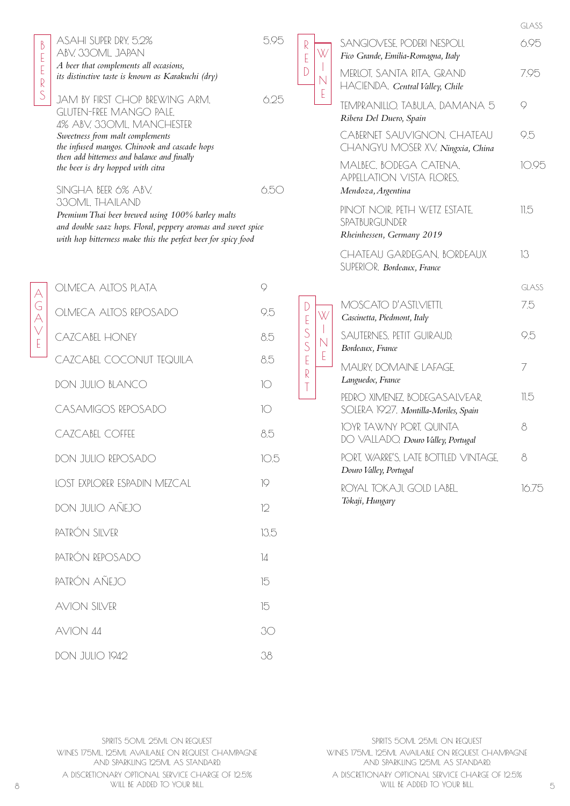## ASAHI SUPER DRY, 5.2% 5.95 ABV, 330ML, JAPAN *A beer that complements all occasions,*

*its distinctive taste is known as Karakuchi (dry)*

JAM BY FIRST CHOP BREWING ARM, 6.25 GLUTEN-FREE MANGO PALE, 4% ABV, 330ML, MANCHESTER *Sweetness from malt complements the infused mangos. Chinook and cascade hops then add bitterness and balance and finally the beer is dry hopped with citra*

 $SINGHA$  BEER 6% ABV,  $6.50$ 330ML, THAILAND

R E D

> $\mathbb{D}$ E S S E R T

*Premium Thai beer brewed using 100% barley malts and double saaz hops. Floral, peppery aromas and sweet spice with hop bitterness make this the perfect beer for spicy food*

| OLMECA ALTOS PLATA           | Q               |
|------------------------------|-----------------|
| OLMECA ALTOS REPOSADO        | 9.5             |
| CAZCABEL HONEY               | 8.5             |
| CAZCABEL COCONUT TEQUILA     | 8.5             |
| <b>DON JULIO BLANCO</b>      | $\circ$         |
| CASAMIGOS REPOSADO           | 10              |
| CAZCABEL COFFEE              | 8.5             |
| DON JULIO REPOSADO           | 10.5            |
| LOST EXPLORER ESPADIN MEZCAL | $\overline{Q}$  |
| DON JULIO AÑEJO              | $\mathcal{D}$   |
| PATRÓN SIIVER                | 13.5            |
| PATRÓN REPOSADO              | $\overline{14}$ |
| PATRÓN AÑEJO                 | 15              |
| <b>AVION SILVER</b>          | 15              |
| AVION 44                     | 30              |
| <b>DON JULIO 1942</b>        | 38              |

|                                                 |                                                                             | GLASS        |
|-------------------------------------------------|-----------------------------------------------------------------------------|--------------|
| W<br>$\begin{array}{c} \hline \end{array}$<br>Ē | SANGIOVESE, PODERI NESPOLI,<br>Fico Grande, Emilia-Romagna, Italy           | 6.95         |
|                                                 | MERLOT, SANTA RITA, GRAND<br>HACIENDA, Central Valley, Chile                | 7.95         |
|                                                 | TEMPRANILLO, TABULA, DAMANA 5<br>Ribera Del Duero, Spain                    | Q            |
|                                                 | CABERNET SAUVIGNON, CHATEAU<br>CHANGYU MOSER XV. Ningxia, China             | 9.5          |
|                                                 | MALBEC, BODEGA CATENA,<br>APPELLATION VISTA FLORES.                         | 10.95        |
|                                                 | Mendoza, Argentina                                                          |              |
|                                                 | PINOT NOIR, PETH WETZ ESTATE,<br>SPATBURGUNDER<br>Rheinhessen, Germany 2019 | 11.5         |
|                                                 | CHATEAU GARDEGAN, BORDEAUX<br>SUPERIOR, Bordeaux, France                    | 13           |
|                                                 |                                                                             | <b>GLASS</b> |
|                                                 | MOSCATO D'ASTI.VIETTI.<br>Cascinetta, Piedmont, Italy                       | 7.5          |
| W<br>- N<br>E                                   | SAUTERNES, PETIT GUIRAUD,<br>Bordeaux, France                               | 9.5          |
|                                                 | MAURY, DOMAINE LAFAGE,<br>Languedoc, France                                 | 7            |
|                                                 | PEDRO XIMENEZ, BODEGASALVEAR,<br>SOLERA 1927, Montilla-Moriles, Spain       | 11.5         |
|                                                 | IOYR TAWNY PORT, QUINTA<br>DO VALLADO, Douro Valley, Portugal               | 8            |
|                                                 | PORT, WARRE'S, LATE BOTTLED, VINTAGE.<br>Douro Valley, Portugal             | 8            |
|                                                 | ROYAL TOKAJI, GOLD LABEL.<br>Tokaji, Hungary                                | 16.75        |
|                                                 |                                                                             |              |